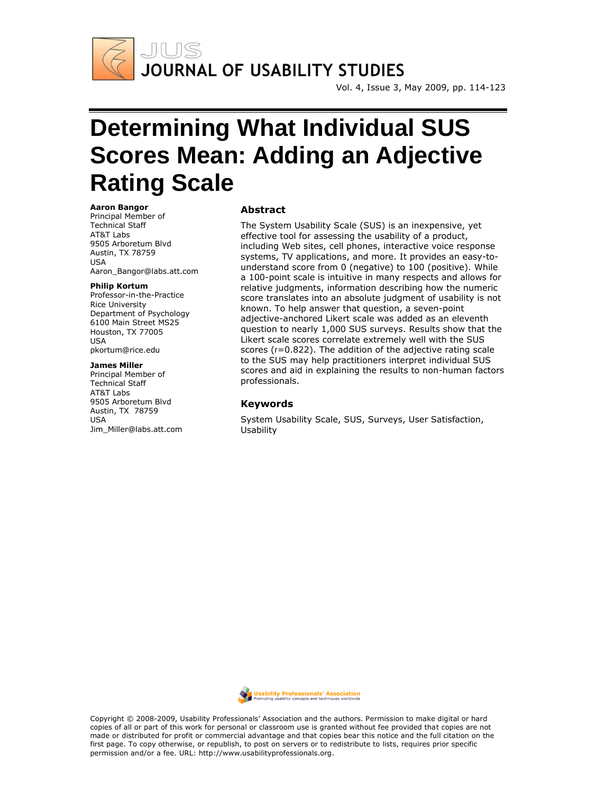

Vol. 4, Issue 3, May 2009, pp. 114-123

# **Determining What Individual SUS Scores Mean: Adding an Adjective Rating Scale**

#### **Aaron Bangor**

Principal Member of Technical Staff AT&T Labs 9505 Arboretum Blvd Austin, TX 78759 USA Aaron\_Bangor@labs.att.com

#### **Philip Kortum**

Professor-in-the-Practice Rice University Department of Psychology 6100 Main Street MS25 Houston, TX 77005 USA pkortum@rice.edu

#### **James Miller**

Principal Member of Technical Staff AT&T Labs 9505 Arboretum Blvd Austin, TX 78759 USA Jim\_Miller@labs.att.com

#### **Abstract**

The System Usability Scale (SUS) is an inexpensive, yet effective tool for assessing the usability of a product, including Web sites, cell phones, interactive voice response systems, TV applications, and more. It provides an easy-tounderstand score from 0 (negative) to 100 (positive). While a 100-point scale is intuitive in many respects and allows for relative judgments, information describing how the numeric score translates into an absolute judgment of usability is not known. To help answer that question, a seven-point adjective-anchored Likert scale was added as an eleventh question to nearly 1,000 SUS surveys. Results show that the Likert scale scores correlate extremely well with the SUS scores (r=0.822). The addition of the adjective rating scale to the SUS may help practitioners interpret individual SUS scores and aid in explaining the results to non-human factors professionals.

#### **Keywords**

System Usability Scale, SUS, Surveys, User Satisfaction, Usability



Copyright © 2008-2009, Usability Professionals" Association and the authors. Permission to make digital or hard copies of all or part of this work for personal or classroom use is granted without fee provided that copies are not made or distributed for profit or commercial advantage and that copies bear this notice and the full citation on the first page. To copy otherwise, or republish, to post on servers or to redistribute to lists, requires prior specific permission and/or a fee. URL: http://www.usabilityprofessionals.org.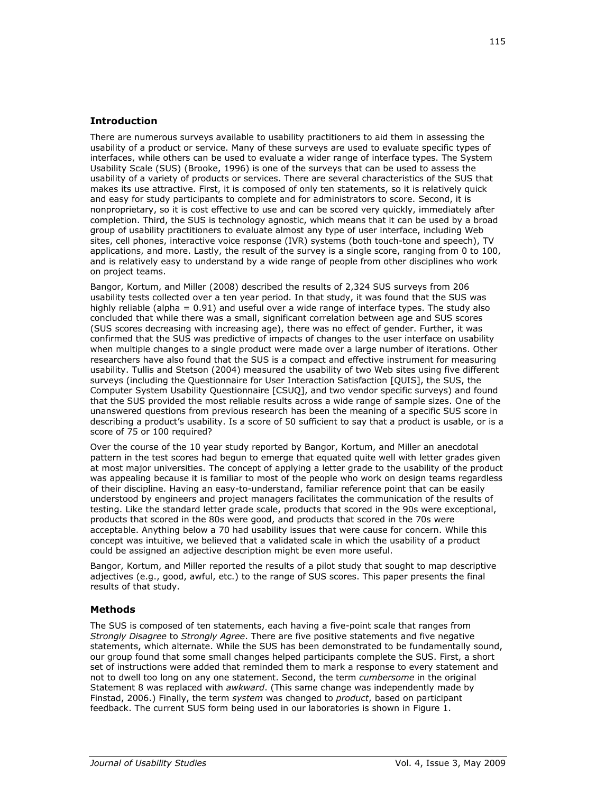## **Introduction**

There are numerous surveys available to usability practitioners to aid them in assessing the usability of a product or service. Many of these surveys are used to evaluate specific types of interfaces, while others can be used to evaluate a wider range of interface types. The System Usability Scale (SUS) (Brooke, 1996) is one of the surveys that can be used to assess the usability of a variety of products or services. There are several characteristics of the SUS that makes its use attractive. First, it is composed of only ten statements, so it is relatively quick and easy for study participants to complete and for administrators to score. Second, it is nonproprietary, so it is cost effective to use and can be scored very quickly, immediately after completion. Third, the SUS is technology agnostic, which means that it can be used by a broad group of usability practitioners to evaluate almost any type of user interface, including Web sites, cell phones, interactive voice response (IVR) systems (both touch-tone and speech), TV applications, and more. Lastly, the result of the survey is a single score, ranging from 0 to 100, and is relatively easy to understand by a wide range of people from other disciplines who work on project teams.

Bangor, Kortum, and Miller (2008) described the results of 2,324 SUS surveys from 206 usability tests collected over a ten year period. In that study, it was found that the SUS was highly reliable (alpha =  $0.91$ ) and useful over a wide range of interface types. The study also concluded that while there was a small, significant correlation between age and SUS scores (SUS scores decreasing with increasing age), there was no effect of gender. Further, it was confirmed that the SUS was predictive of impacts of changes to the user interface on usability when multiple changes to a single product were made over a large number of iterations. Other researchers have also found that the SUS is a compact and effective instrument for measuring usability. Tullis and Stetson (2004) measured the usability of two Web sites using five different surveys (including the Questionnaire for User Interaction Satisfaction [QUIS], the SUS, the Computer System Usability Questionnaire [CSUQ], and two vendor specific surveys) and found that the SUS provided the most reliable results across a wide range of sample sizes. One of the unanswered questions from previous research has been the meaning of a specific SUS score in describing a product's usability. Is a score of 50 sufficient to say that a product is usable, or is a score of 75 or 100 required?

Over the course of the 10 year study reported by Bangor, Kortum, and Miller an anecdotal pattern in the test scores had begun to emerge that equated quite well with letter grades given at most major universities. The concept of applying a letter grade to the usability of the product was appealing because it is familiar to most of the people who work on design teams regardless of their discipline. Having an easy-to-understand, familiar reference point that can be easily understood by engineers and project managers facilitates the communication of the results of testing. Like the standard letter grade scale, products that scored in the 90s were exceptional, products that scored in the 80s were good, and products that scored in the 70s were acceptable. Anything below a 70 had usability issues that were cause for concern. While this concept was intuitive, we believed that a validated scale in which the usability of a product could be assigned an adjective description might be even more useful.

Bangor, Kortum, and Miller reported the results of a pilot study that sought to map descriptive adjectives (e.g., good, awful, etc.) to the range of SUS scores. This paper presents the final results of that study.

## **Methods**

The SUS is composed of ten statements, each having a five-point scale that ranges from *Strongly Disagree* to *Strongly Agree*. There are five positive statements and five negative statements, which alternate. While the SUS has been demonstrated to be fundamentally sound, our group found that some small changes helped participants complete the SUS. First, a short set of instructions were added that reminded them to mark a response to every statement and not to dwell too long on any one statement. Second, the term *cumbersome* in the original Statement 8 was replaced with *awkward*. (This same change was independently made by Finstad, 2006.) Finally, the term *system* was changed to *product*, based on participant feedback. The current SUS form being used in our laboratories is shown in Figure 1.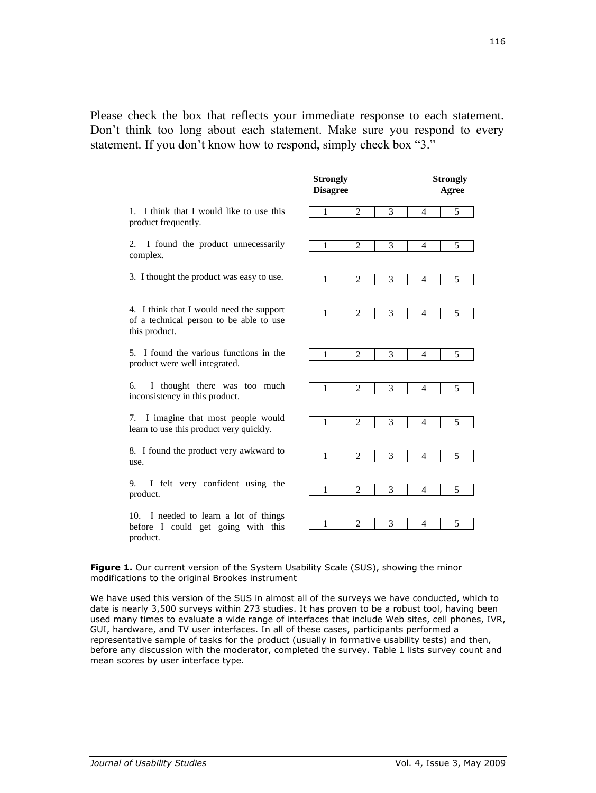Please check the box that reflects your immediate response to each statement. Don't think too long about each statement. Make sure you respond to every statement. If you don't know how to respond, simply check box "3."

|                                                                                                      | <b>Strongly</b><br><b>Disagree</b> |        | <b>Strongly</b><br>Agree |
|------------------------------------------------------------------------------------------------------|------------------------------------|--------|--------------------------|
| 1. I think that I would like to use this<br>product frequently.                                      | 2<br>1                             | 3<br>4 | 5                        |
| I found the product unnecessarily<br>2.<br>complex.                                                  | $\overline{2}$<br>1                | 3<br>4 | 5                        |
| 3. I thought the product was easy to use.                                                            | 2<br>1                             | 3<br>4 | 5                        |
| 4. I think that I would need the support<br>of a technical person to be able to use<br>this product. | $\overline{c}$<br>1                | 3<br>4 | 5                        |
| 5. I found the various functions in the<br>product were well integrated.                             | $\overline{c}$<br>1                | 3<br>4 | 5                        |
| I thought there was too much<br>6.<br>inconsistency in this product.                                 | $\overline{2}$<br>1                | 3<br>4 | 5                        |
| 7. I imagine that most people would<br>learn to use this product very quickly.                       | $\overline{2}$<br>1                | 3<br>4 | 5                        |
| 8. I found the product very awkward to<br>use.                                                       | 2<br>1                             | 3<br>4 | 5                        |
| I felt very confident using the<br>9.<br>product.                                                    | 2<br>1                             | 3<br>4 | 5                        |
| 10. I needed to learn a lot of things<br>before I could get going with this<br>product.              | $\overline{c}$<br>$\mathbf{1}$     | 3<br>4 | 5                        |

Figure 1. Our current version of the System Usability Scale (SUS), showing the minor modifications to the original Brookes instrument

We have used this version of the SUS in almost all of the surveys we have conducted, which to date is nearly 3,500 surveys within 273 studies. It has proven to be a robust tool, having been used many times to evaluate a wide range of interfaces that include Web sites, cell phones, IVR, GUI, hardware, and TV user interfaces. In all of these cases, participants performed a representative sample of tasks for the product (usually in formative usability tests) and then, before any discussion with the moderator, completed the survey. Table 1 lists survey count and mean scores by user interface type.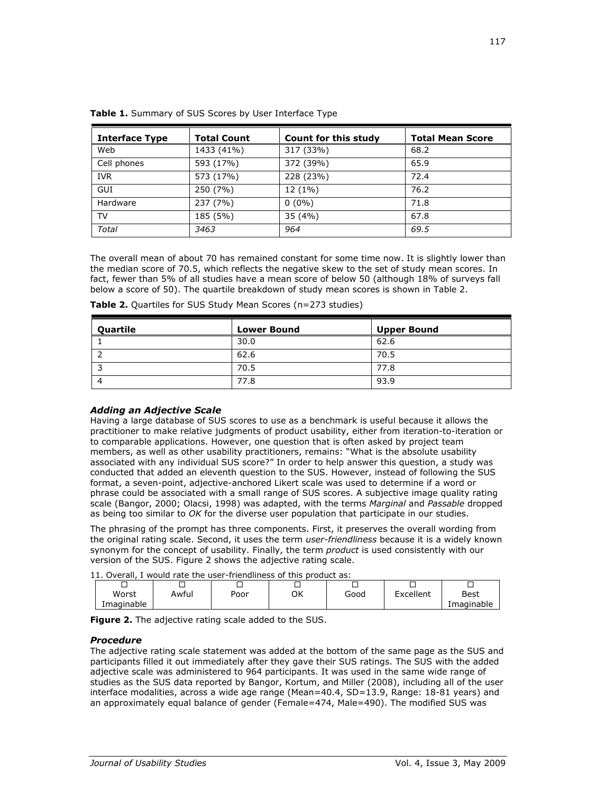| <b>Interface Type</b> | <b>Total Count</b> | Count for this study | <b>Total Mean Score</b> |
|-----------------------|--------------------|----------------------|-------------------------|
| Web                   | 1433 (41%)         | 317 (33%)            | 68.2                    |
| Cell phones           | 593 (17%)          | 372 (39%)            | 65.9                    |
| <b>IVR</b>            | 573 (17%)          | 228 (23%)            | 72.4                    |
| GUI                   | 250 (7%)           | 12 (1%)              | 76.2                    |
| Hardware              | 237 (7%)           | $0(0\%)$             | 71.8                    |
| TV                    | 185 (5%)           | 35 (4%)              | 67.8                    |
| Total                 | 3463               | 964                  | 69.5                    |

|  |  | Table 1. Summary of SUS Scores by User Interface Type |  |
|--|--|-------------------------------------------------------|--|

The overall mean of about 70 has remained constant for some time now. It is slightly lower than the median score of 70.5, which reflects the negative skew to the set of study mean scores. In fact, fewer than 5% of all studies have a mean score of below 50 (although 18% of surveys fall below a score of 50). The quartile breakdown of study mean scores is shown in Table 2.

| <b>Quartile</b> | <b>Lower Bound</b> | <b>Upper Bound</b> |
|-----------------|--------------------|--------------------|
|                 | 30.0               | 62.6               |
|                 | 62.6               | 70.5               |
|                 | 70.5               | 77.8               |
| -4              | 77.8               | 93.9               |

**Table 2.** Quartiles for SUS Study Mean Scores (n=273 studies)

# *Adding an Adjective Scale*

Having a large database of SUS scores to use as a benchmark is useful because it allows the practitioner to make relative judgments of product usability, either from iteration-to-iteration or to comparable applications. However, one question that is often asked by project team members, as well as other usability practitioners, remains: "What is the absolute usability associated with any individual SUS score?" In order to help answer this question, a study was conducted that added an eleventh question to the SUS. However, instead of following the SUS format, a seven-point, adjective-anchored Likert scale was used to determine if a word or phrase could be associated with a small range of SUS scores. A subjective image quality rating scale (Bangor, 2000; Olacsi, 1998) was adapted, with the terms *Marginal* and *Passable* dropped as being too similar to *OK* for the diverse user population that participate in our studies.

The phrasing of the prompt has three components. First, it preserves the overall wording from the original rating scale. Second, it uses the term *user-friendliness* because it is a widely known synonym for the concept of usability. Finally, the term *product* is used consistently with our version of the SUS. Figure 2 shows the adjective rating scale.

11. Overall, I would rate the user-friendliness of this product as:

| <b>II.</b> OVEIGII, I WOUIU TALE LITE USEI THEHUIHESS OF LITIS DIVUULL AS. |       |      |    |      |           |                    |
|----------------------------------------------------------------------------|-------|------|----|------|-----------|--------------------|
|                                                                            |       |      |    |      |           |                    |
| Worst<br>Imaginable                                                        | Awful | Poor | ΟK | Good | Excellent | Best<br>Imaginable |
|                                                                            |       |      |    |      |           |                    |

**Figure 2.** The adjective rating scale added to the SUS.

# *Procedure*

The adjective rating scale statement was added at the bottom of the same page as the SUS and participants filled it out immediately after they gave their SUS ratings. The SUS with the added adjective scale was administered to 964 participants. It was used in the same wide range of studies as the SUS data reported by Bangor, Kortum, and Miller (2008), including all of the user interface modalities, across a wide age range (Mean=40.4, SD=13.9, Range: 18-81 years) and an approximately equal balance of gender (Female=474, Male=490). The modified SUS was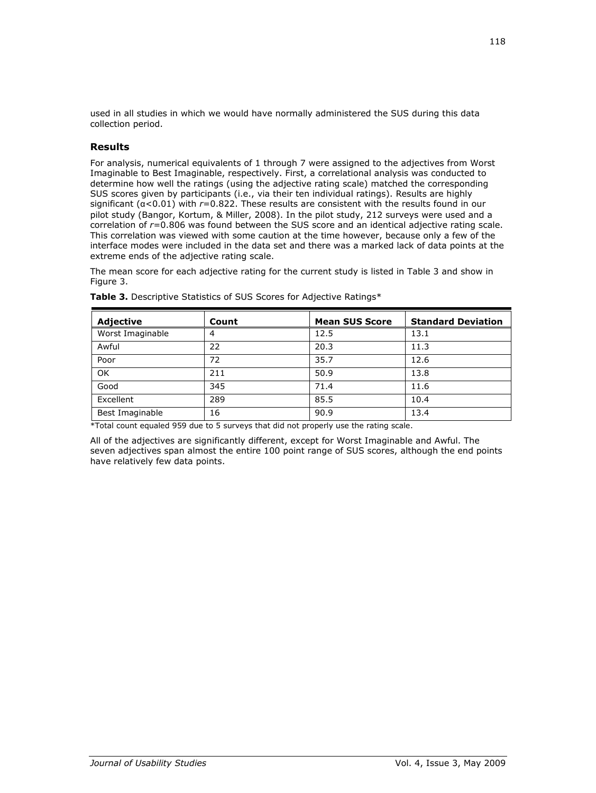used in all studies in which we would have normally administered the SUS during this data collection period.

## **Results**

For analysis, numerical equivalents of 1 through 7 were assigned to the adjectives from Worst Imaginable to Best Imaginable, respectively. First, a correlational analysis was conducted to determine how well the ratings (using the adjective rating scale) matched the corresponding SUS scores given by participants (i.e., via their ten individual ratings). Results are highly significant (α<0.01) with *r*=0.822. These results are consistent with the results found in our pilot study (Bangor, Kortum, & Miller, 2008). In the pilot study, 212 surveys were used and a correlation of *r*=0.806 was found between the SUS score and an identical adjective rating scale. This correlation was viewed with some caution at the time however, because only a few of the interface modes were included in the data set and there was a marked lack of data points at the extreme ends of the adjective rating scale.

The mean score for each adjective rating for the current study is listed in Table 3 and show in Figure 3.

| <b>Adjective</b> | Count | <b>Mean SUS Score</b> | <b>Standard Deviation</b> |
|------------------|-------|-----------------------|---------------------------|
| Worst Imaginable | 4     | 12.5                  | 13.1                      |
| Awful            | 22    | 20.3                  | 11.3                      |
| Poor             | 72    | 35.7                  | 12.6                      |
| OK               | 211   | 50.9                  | 13.8                      |
| Good             | 345   | 71.4                  | 11.6                      |
| Excellent        | 289   | 85.5                  | 10.4                      |
| Best Imaginable  | 16    | 90.9                  | 13.4                      |

**Table 3.** Descriptive Statistics of SUS Scores for Adjective Ratings\*

\*Total count equaled 959 due to 5 surveys that did not properly use the rating scale.

All of the adjectives are significantly different, except for Worst Imaginable and Awful. The seven adjectives span almost the entire 100 point range of SUS scores, although the end points have relatively few data points.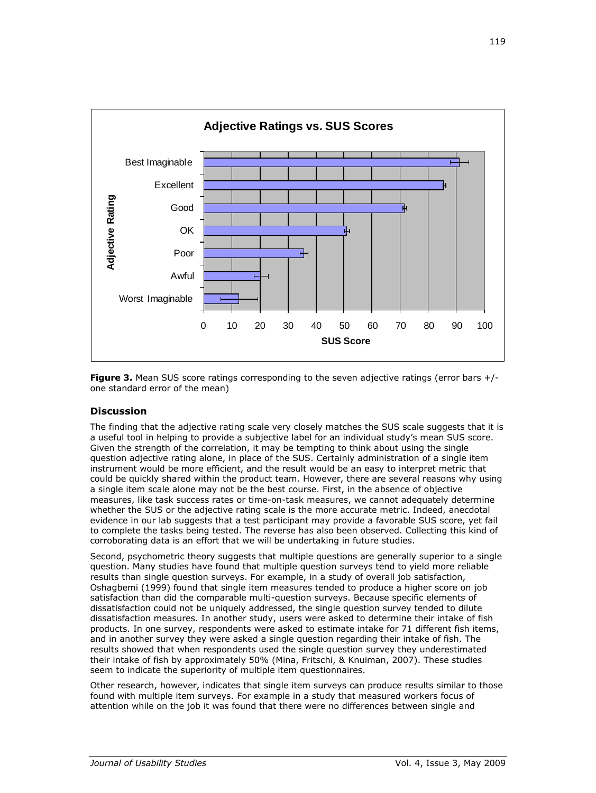

**Figure 3.** Mean SUS score ratings corresponding to the seven adjective ratings (error bars +/one standard error of the mean)

## **Discussion**

The finding that the adjective rating scale very closely matches the SUS scale suggests that it is a useful tool in helping to provide a subjective label for an individual study's mean SUS score. Given the strength of the correlation, it may be tempting to think about using the single question adjective rating alone, in place of the SUS. Certainly administration of a single item instrument would be more efficient, and the result would be an easy to interpret metric that could be quickly shared within the product team. However, there are several reasons why using a single item scale alone may not be the best course. First, in the absence of objective measures, like task success rates or time-on-task measures, we cannot adequately determine whether the SUS or the adjective rating scale is the more accurate metric. Indeed, anecdotal evidence in our lab suggests that a test participant may provide a favorable SUS score, yet fail to complete the tasks being tested. The reverse has also been observed. Collecting this kind of corroborating data is an effort that we will be undertaking in future studies.

Second, psychometric theory suggests that multiple questions are generally superior to a single question. Many studies have found that multiple question surveys tend to yield more reliable results than single question surveys. For example, in a study of overall job satisfaction, Oshagbemi (1999) found that single item measures tended to produce a higher score on job satisfaction than did the comparable multi-question surveys. Because specific elements of dissatisfaction could not be uniquely addressed, the single question survey tended to dilute dissatisfaction measures. In another study, users were asked to determine their intake of fish products. In one survey, respondents were asked to estimate intake for 71 different fish items, and in another survey they were asked a single question regarding their intake of fish. The results showed that when respondents used the single question survey they underestimated their intake of fish by approximately 50% (Mina, Fritschi, & Knuiman, 2007). These studies seem to indicate the superiority of multiple item questionnaires.

Other research, however, indicates that single item surveys can produce results similar to those found with multiple item surveys. For example in a study that measured workers focus of attention while on the job it was found that there were no differences between single and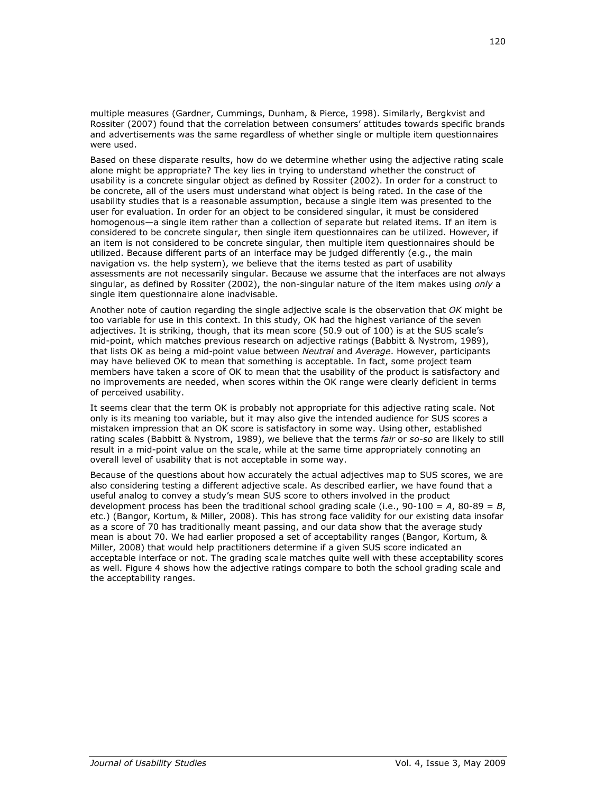multiple measures (Gardner, Cummings, Dunham, & Pierce, 1998). Similarly, Bergkvist and Rossiter (2007) found that the correlation between consumers" attitudes towards specific brands and advertisements was the same regardless of whether single or multiple item questionnaires were used.

Based on these disparate results, how do we determine whether using the adjective rating scale alone might be appropriate? The key lies in trying to understand whether the construct of usability is a concrete singular object as defined by Rossiter (2002). In order for a construct to be concrete, all of the users must understand what object is being rated. In the case of the usability studies that is a reasonable assumption, because a single item was presented to the user for evaluation. In order for an object to be considered singular, it must be considered homogenous—a single item rather than a collection of separate but related items. If an item is considered to be concrete singular, then single item questionnaires can be utilized. However, if an item is not considered to be concrete singular, then multiple item questionnaires should be utilized. Because different parts of an interface may be judged differently (e.g., the main navigation vs. the help system), we believe that the items tested as part of usability assessments are not necessarily singular. Because we assume that the interfaces are not always singular, as defined by Rossiter (2002), the non-singular nature of the item makes using *only* a single item questionnaire alone inadvisable.

Another note of caution regarding the single adjective scale is the observation that *OK* might be too variable for use in this context. In this study, OK had the highest variance of the seven adjectives. It is striking, though, that its mean score (50.9 out of 100) is at the SUS scale"s mid-point, which matches previous research on adjective ratings (Babbitt & Nystrom, 1989), that lists OK as being a mid-point value between *Neutral* and *Average*. However, participants may have believed OK to mean that something is acceptable. In fact, some project team members have taken a score of OK to mean that the usability of the product is satisfactory and no improvements are needed, when scores within the OK range were clearly deficient in terms of perceived usability.

It seems clear that the term OK is probably not appropriate for this adjective rating scale. Not only is its meaning too variable, but it may also give the intended audience for SUS scores a mistaken impression that an OK score is satisfactory in some way. Using other, established rating scales (Babbitt & Nystrom, 1989), we believe that the terms *fair* or *so-so* are likely to still result in a mid-point value on the scale, while at the same time appropriately connoting an overall level of usability that is not acceptable in some way.

Because of the questions about how accurately the actual adjectives map to SUS scores, we are also considering testing a different adjective scale. As described earlier, we have found that a useful analog to convey a study"s mean SUS score to others involved in the product development process has been the traditional school grading scale (i.e., 90-100 = *A*, 80-89 = *B*, etc.) (Bangor, Kortum, & Miller, 2008). This has strong face validity for our existing data insofar as a score of 70 has traditionally meant passing, and our data show that the average study mean is about 70. We had earlier proposed a set of acceptability ranges (Bangor, Kortum, & Miller, 2008) that would help practitioners determine if a given SUS score indicated an acceptable interface or not. The grading scale matches quite well with these acceptability scores as well. Figure 4 shows how the adjective ratings compare to both the school grading scale and the acceptability ranges.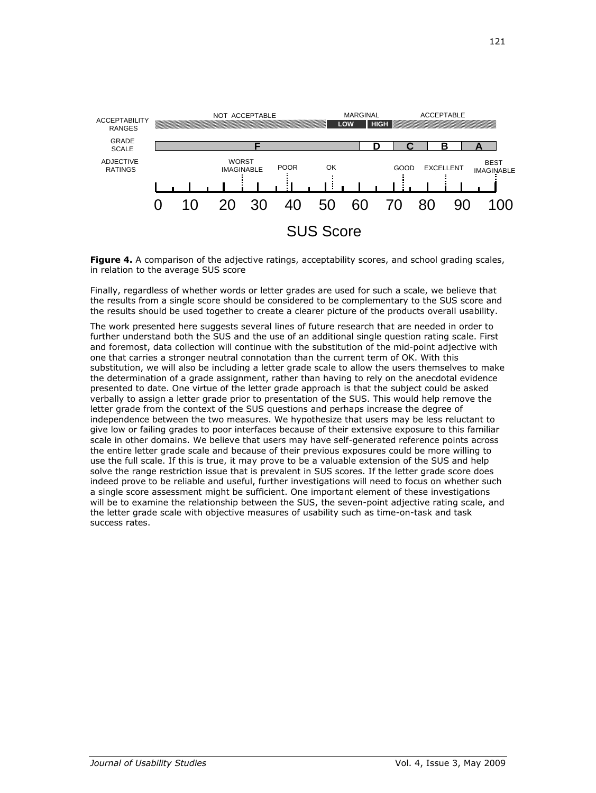

**Figure 4.** A comparison of the adjective ratings, acceptability scores, and school grading scales, in relation to the average SUS score

Finally, regardless of whether words or letter grades are used for such a scale, we believe that the results from a single score should be considered to be complementary to the SUS score and the results should be used together to create a clearer picture of the products overall usability.

The work presented here suggests several lines of future research that are needed in order to further understand both the SUS and the use of an additional single question rating scale. First and foremost, data collection will continue with the substitution of the mid-point adjective with one that carries a stronger neutral connotation than the current term of OK. With this substitution, we will also be including a letter grade scale to allow the users themselves to make the determination of a grade assignment, rather than having to rely on the anecdotal evidence presented to date. One virtue of the letter grade approach is that the subject could be asked verbally to assign a letter grade prior to presentation of the SUS. This would help remove the letter grade from the context of the SUS questions and perhaps increase the degree of independence between the two measures. We hypothesize that users may be less reluctant to give low or failing grades to poor interfaces because of their extensive exposure to this familiar scale in other domains. We believe that users may have self-generated reference points across the entire letter grade scale and because of their previous exposures could be more willing to use the full scale. If this is true, it may prove to be a valuable extension of the SUS and help solve the range restriction issue that is prevalent in SUS scores. If the letter grade score does indeed prove to be reliable and useful, further investigations will need to focus on whether such a single score assessment might be sufficient. One important element of these investigations will be to examine the relationship between the SUS, the seven-point adjective rating scale, and the letter grade scale with objective measures of usability such as time-on-task and task success rates.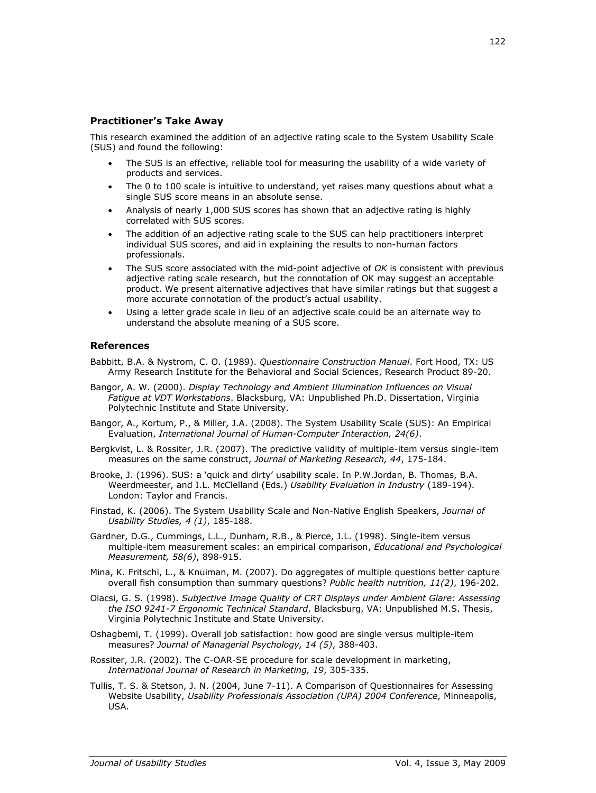## **Practitioner's Take Away**

This research examined the addition of an adjective rating scale to the System Usability Scale (SUS) and found the following:

- The SUS is an effective, reliable tool for measuring the usability of a wide variety of products and services.
- The 0 to 100 scale is intuitive to understand, yet raises many questions about what a single SUS score means in an absolute sense.
- Analysis of nearly 1,000 SUS scores has shown that an adjective rating is highly correlated with SUS scores.
- The addition of an adjective rating scale to the SUS can help practitioners interpret individual SUS scores, and aid in explaining the results to non-human factors professionals.
- The SUS score associated with the mid-point adjective of *OK* is consistent with previous adjective rating scale research, but the connotation of OK may suggest an acceptable product. We present alternative adjectives that have similar ratings but that suggest a more accurate connotation of the product's actual usability.
- Using a letter grade scale in lieu of an adjective scale could be an alternate way to understand the absolute meaning of a SUS score.

## **References**

- Babbitt, B.A. & Nystrom, C. O. (1989). *Questionnaire Construction Manual*. Fort Hood, TX: US Army Research Institute for the Behavioral and Social Sciences, Research Product 89-20.
- Bangor, A. W. (2000). *Display Technology and Ambient Illumination Influences on Visual Fatigue at VDT Workstations*. Blacksburg, VA: Unpublished Ph.D. Dissertation, Virginia Polytechnic Institute and State University.
- Bangor, A., Kortum, P., & Miller, J.A. (2008). The System Usability Scale (SUS): An Empirical Evaluation, *International Journal of Human-Computer Interaction, 24(6)*.
- Bergkvist, L. & Rossiter, J.R. (2007). The predictive validity of multiple-item versus single-item measures on the same construct, *Journal of Marketing Research, 44*, 175-184.
- Brooke, J. (1996). SUS: a "quick and dirty" usability scale. In P.W.Jordan, B. Thomas, B.A. Weerdmeester, and I.L. McClelland (Eds.) *Usability Evaluation in Industry* (189-194). London: Taylor and Francis.
- Finstad, K. (2006). The System Usability Scale and Non-Native English Speakers, *Journal of Usability Studies, 4 (1)*, 185-188.
- Gardner, D.G., Cummings, L.L., Dunham, R.B., & Pierce, J.L. (1998). Single-item versus multiple-item measurement scales: an empirical comparison, *Educational and Psychological Measurement, 58(6)*, 898-915.
- Mina, K. Fritschi, L., & Knuiman, M. (2007). Do aggregates of multiple questions better capture overall fish consumption than summary questions? *Public health nutrition, 11(2)*, 196-202.
- Olacsi, G. S. (1998). *Subjective Image Quality of CRT Displays under Ambient Glare: Assessing the ISO 9241-7 Ergonomic Technical Standard*. Blacksburg, VA: Unpublished M.S. Thesis, Virginia Polytechnic Institute and State University.
- Oshagbemi, T. (1999). Overall job satisfaction: how good are single versus multiple-item measures? *Journal of Managerial Psychology, 14 (5)*, 388-403.
- Rossiter, J.R. (2002). The C-OAR-SE procedure for scale development in marketing, *International Journal of Research in Marketing, 19*, 305-335.
- Tullis, T. S. & Stetson, J. N. (2004, June 7-11). A Comparison of Questionnaires for Assessing Website Usability, *Usability Professionals Association (UPA) 2004 Conference*, Minneapolis, USA.